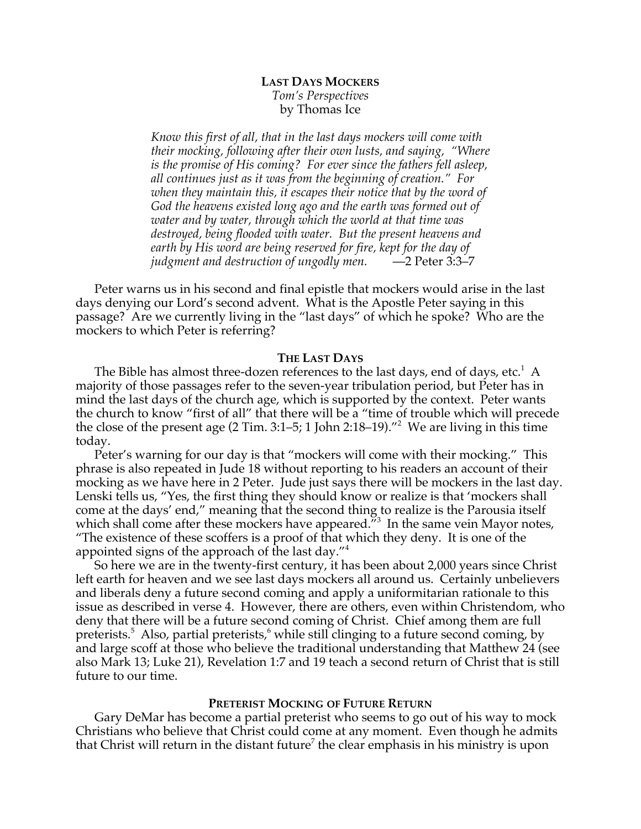# **LAST DAYS MOCKERS** *Tom's Perspectives* by Thomas Ice

*Know this first of all, that in the last days mockers will come with their mocking, following after their own lusts, and saying, "Where is the promise of His coming? For ever since the fathers fell asleep, all continues just as it was from the beginning of creation." For when they maintain this, it escapes their notice that by the word of God the heavens existed long ago and the earth was formed out of water and by water, through which the world at that time was destroyed, being flooded with water. But the present heavens and earth by His word are being reserved for fire, kept for the day of judgment and destruction of ungodly men.* —2 Peter 3:3–7

Peter warns us in his second and final epistle that mockers would arise in the last days denying our Lord's second advent. What is the Apostle Peter saying in this passage? Are we currently living in the "last days" of which he spoke? Who are the mockers to which Peter is referring?

## **THE LAST DAYS**

The Bible has almost three-dozen references to the last days, end of days, etc. $^1\,$  A majority of those passages refer to the seven-year tribulation period, but Peter has in mind the last days of the church age, which is supported by the context. Peter wants the church to know "first of all" that there will be a "time of trouble which will precede the close of the present age (2 Tim. 3:1–5; 1 John 2:18–19)."<sup>2</sup> We are living in this time today.

Peter's warning for our day is that "mockers will come with their mocking." This phrase is also repeated in Jude 18 without reporting to his readers an account of their mocking as we have here in 2 Peter. Jude just says there will be mockers in the last day. Lenski tells us, "Yes, the first thing they should know or realize is that 'mockers shall come at the days' end," meaning that the second thing to realize is the Parousia itself which shall come after these mockers have appeared.<sup> $\tilde{m}$ 3 In the same vein Mayor notes,</sup> "The existence of these scoffers is a proof of that which they deny. It is one of the appointed signs of the approach of the last day."<sup>4</sup>

So here we are in the twenty-first century, it has been about 2,000 years since Christ left earth for heaven and we see last days mockers all around us. Certainly unbelievers and liberals deny a future second coming and apply a uniformitarian rationale to this issue as described in verse 4. However, there are others, even within Christendom, who deny that there will be a future second coming of Christ. Chief among them are full preterists.<sup>5</sup> Also, partial preterists,<sup>6</sup> while still clinging to a future second coming, by and large scoff at those who believe the traditional understanding that Matthew 24 (see also Mark 13; Luke 21), Revelation 1:7 and 19 teach a second return of Christ that is still future to our time.

#### **PRETERIST MOCKING OF FUTURE RETURN**

Gary DeMar has become a partial preterist who seems to go out of his way to mock Christians who believe that Christ could come at any moment. Even though he admits that Christ will return in the distant future<sup>7</sup> the clear emphasis in his ministry is upon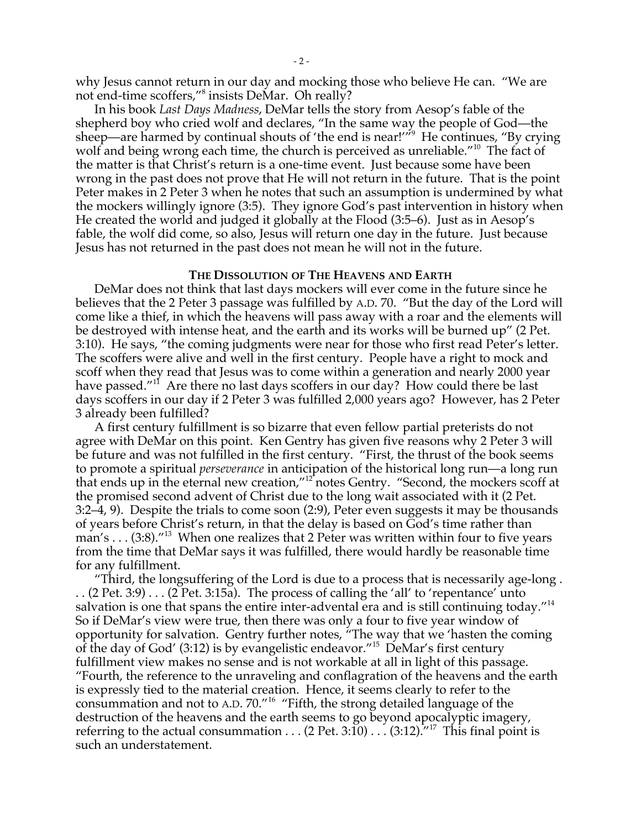why Jesus cannot return in our day and mocking those who believe He can. "We are not end-time scoffers,"8 insists DeMar. Oh really?

In his book *Last Days Madness*, DeMar tells the story from Aesop's fable of the shepherd boy who cried wolf and declares, "In the same way the people of God—the sheep—are harmed by continual shouts of 'the end is near!'"<sup>9</sup> He continues, "By crying wolf and being wrong each time, the church is perceived as unreliable."<sup>10</sup> The fact of the matter is that Christ's return is a one-time event. Just because some have been wrong in the past does not prove that He will not return in the future. That is the point Peter makes in 2 Peter 3 when he notes that such an assumption is undermined by what the mockers willingly ignore (3:5). They ignore God's past intervention in history when He created the world and judged it globally at the Flood (3:5–6). Just as in Aesop's fable, the wolf did come, so also, Jesus will return one day in the future. Just because Jesus has not returned in the past does not mean he will not in the future.

### **THE DISSOLUTION OF THE HEAVENS AND EARTH**

DeMar does not think that last days mockers will ever come in the future since he believes that the 2 Peter 3 passage was fulfilled by A.D. 70. "But the day of the Lord will come like a thief, in which the heavens will pass away with a roar and the elements will be destroyed with intense heat, and the earth and its works will be burned up" (2 Pet. 3:10). He says, "the coming judgments were near for those who first read Peter's letter. The scoffers were alive and well in the first century. People have a right to mock and scoff when they read that Jesus was to come within a generation and nearly 2000 year have passed."<sup>11</sup> Are there no last days scoffers in our day? How could there be last days scoffers in our day if 2 Peter 3 was fulfilled 2,000 years ago? However, has 2 Peter 3 already been fulfilled?

A first century fulfillment is so bizarre that even fellow partial preterists do not agree with DeMar on this point. Ken Gentry has given five reasons why 2 Peter 3 will be future and was not fulfilled in the first century. "First, the thrust of the book seems to promote a spiritual *perseverance* in anticipation of the historical long run—a long run that ends up in the eternal new creation,"<sup>12</sup> notes Gentry. "Second, the mockers scoff at the promised second advent of Christ due to the long wait associated with it (2 Pet. 3:2–4, 9). Despite the trials to come soon (2:9), Peter even suggests it may be thousands of years before Christ's return, in that the delay is based on God's time rather than man's . . . (3:8)."<sup>13</sup> When one realizes that 2 Peter was written within four to five years from the time that DeMar says it was fulfilled, there would hardly be reasonable time for any fulfillment.

"Third, the longsuffering of the Lord is due to a process that is necessarily age-long .  $(2$  Pet. 3:9)  $\ldots$  (2 Pet. 3:15a). The process of calling the 'all' to 'repentance' unto salvation is one that spans the entire inter-advental era and is still continuing today."<sup>14</sup> So if DeMar's view were true, then there was only a four to five year window of opportunity for salvation. Gentry further notes, "The way that we 'hasten the coming of the day of God' (3:12) is by evangelistic endeavor."<sup>15</sup> DeMar's first century fulfillment view makes no sense and is not workable at all in light of this passage. "Fourth, the reference to the unraveling and conflagration of the heavens and the earth is expressly tied to the material creation. Hence, it seems clearly to refer to the consummation and not to A.D.  $70.^{''16}$  "Fifth, the strong detailed language of the destruction of the heavens and the earth seems to go beyond apocalyptic imagery, referring to the actual consummation . . . (2 Pet. 3:10) . . . (3:12).<sup>747</sup> This final point is such an understatement.